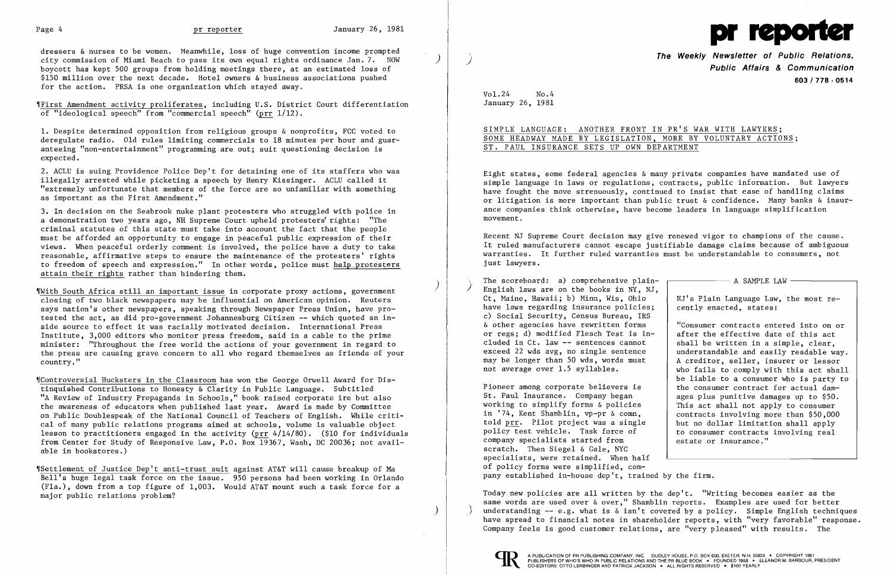dressers & nurses to be women. Meanwhile, loss of huge convention income prompted city commission of Miami Beach to pass its own equal rights ordinance Jan. 7. NOW ) boycott has kept 500 groups from holding meetings there, at an estimated loss of \$150 million over the next decade. Hotel owners & business associations pushed for the action. PRSA is one organization which stayed away.

Wellinst Amendment activity proliferates, including U.S. District Court differentiation of "ideological speech" from "commercial speech" (prr 1/12).

1. Despite determined opposition from religious groups & nonprofits, FCC voted to deregulate radio. Old rules limiting commercials to 18 minutes per hour and guar anteeing "non-entertainment" programming are out; suit questioning decision is expected.

2. ACLU is suing Providence Police Dep't for detaining one of its staffers who was illegally arrested while picketing a speech by Henry Kissinger. ACLU called it Ī "extremely unfortunate that members of the force are so unfamiliar with something as important as the First Amendment."

 $\parallel$ With South Africa still an important issue in corporate proxy actions, government closing of two black newspapers may be influential on American opinion. Reuters says nation's other newspapers, speaking through Newspaper Press Union, have protested the act, as did pro-government Johannesburg Citizen -- which quoted an inside source to effect it was racially motivated decision. International Press Institute, 3,000 editors who monitor press freedom, said in a cable to the prime minister: "Throughout the free world the actions of your government in regard to the press are causing grave concern to all who regard themselves as friends of your country."

3. In decision on the Seabrook nuke plant protesters who struggled with police in a demonstration two years ago, NH Supreme Court upheld protesters' rights: "The criminal statutes of this state must take into account the fact that the people must be afforded an opportunity to engage in peaceful public expression of their views. When peaceful orderly comment is involved, the police have a duty to take reasonable, affirmative steps to ensure the maintenance of the protesters' rights to freedom of speech and expression." In other words, police must help protesters attain their rights rather than hindering them.

\[Controversial Hucksters in the Classroom has won the George Orwell Award for Distinquished Contributions to Honesty & Clarity in Public Language. Subtitled "A Review of Industry Propaganda in Schools," book raised corporate ire but also the awareness of educators when published last year. Award is made by Committee on Public Doublespeak of the National Council of Teachers of English. While critical of many public relations programs aimed at schools, volume is valuable object lesson to practitioners engaged in the activity (prr  $4/14/80$ ). (\$10 for individuals from Center for Study of Responsive Law, P.O. Box 19367, Wash, DC 20036; not available in bookstores.)

cently enacted, states: "Consumer contracts entered into on or

Pioneer among corporate believers is <br>St. Paul Insurance. Company began ages plus punitive damages up to \$50. St. Paul Insurance. Company began<br>working to simplify forms & policies working to simplify forms  $\&$  policies  $\qquad$  This act shall not apply to consumer<br>in '74, Kent Shamblin, vp-pr  $\&$  comn,  $\qquad$  contracts involving more than \$50.000 told prr. Pilot project was a single but no dollar limitation shall apply<br>policy test vehicle. Task force of to consumer contracts involving real company specialists started from scratch. Then Siegel & Gale, NYC specialists, were retained. When half of policy forms were simplified, com pany established in-house dep't, trained by the firm.

Today new policies are all written by the dep't. "Writing becomes easier as the same words are used over & over," Shamblin reports. Examples are used for better understanding  $--$  e.g. what is  $\&$  isn't covered by a policy. Simple English techniques have spread to financial notes in shareholder reports, with "very favorable" response. Company feels is good customer relations, are "very pleased" with results. The



,rSettlement of Justice Dep't anti-trust suit against AT&T will cause breakup of Ma Bell's huge legal task force on the issue. 950 persons had been working in Orlando (Fla.), down from a top figure of 1,003. Would AT&T mount such a task force for a major public relations problem?

)



**The Weekly Newsletter of Public Relations,** ) **Public Affairs & Communication 603/778·0514** 

Vol. 24 No.4 January 26, 1981

SIMPLE LANGUAGE: ANOTHER FRONT IN PR'S WAR WITH LAWYERS; SOME HEADWAY MADE BY LEGISLATION, MORE BY VOLUNTARY ACTIONS; ST. PAUL INSURANCE SETS UP OWN DEPARTMENT

Eight states, some federal agencies & many private companies have mandated use of simple language in laws or regulations, contracts, public information. But lawyers have fought the move strenuously, continued to insist that ease of handling claims or litigation is more important than public trust & confidence. Many banks & insurance companies think otherwise, have become leaders in language simplification movement.

Recent NJ Supreme Court decision may give renewed vigor to champions of the cause. It ruled manufacturers cannot escape justifiable damage claims because of ambiguous warranties. It further ruled warranties must be understandable to consumers, not just lawyers.

The scoreboard: a) comprehensive plain-<br>English laws are on the books in NY, NJ,<br>Ct, Maine, Hawaii; b) Minn, Wis, Ohio | NJ's Plain Language Law, the most re-Ct, Maine, Hawaii; b) Minn, Wis, Ohio have laws regarding insurance policies; c) Social Security, Census Bureau, IRS & other agencies have rewritten forms or regs; d) modified Flesch Test is in-<br>cluded in Ct. law -- sentences cannot <br>shall be written in a simple, clear, cluded in Ct. law  $-$  sentences cannot  $\begin{array}{|l|l|}$  shall be written in a simple, clear, exceed 22 wds avg, no single sentence  $\end{array}$  understandable and easily readable way. exceed 22 wds avg, no single sentence may be longer than 50 wds. words must may be longer than 50 wds, words must  $\begin{array}{|l|l|}\n\hline\nA\,\,\text{creditor, seller, insert or lessor} \\
\text{not average over 1.5 syllables.} \\
\hline\n\end{array}$  who fails to comply with this act shall

i

who fails to comply with this act shall be liable to a consumer who is party to contracts involving more than \$50,000 to consumer contracts involving real<br>estate or insurance."